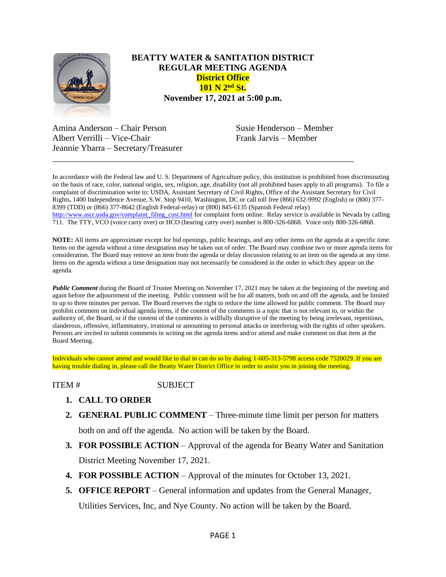

## **BEATTY WATER & SANITATION DISTRICT REGULAR MEETING AGENDA District Office 101 N 2nd St. November 17, 2021 at 5:00 p.m.**

Amina Anderson – Chair Person Susie Henderson – Member Albert Verrilli – Vice-Chair Frank Jarvis – Member Jeannie Ybarra – Secretary/Treasurer

In accordance with the Federal law and U. S. Department of Agriculture policy, this institution is prohibited from discriminating on the basis of race, color, national origin, sex, religion, age, disability (not all prohibited bases apply to all programs). To file a complaint of discrimination write to: USDA, Assistant Secretary of Civil Rights, Office of the Assistant Secretary for Civil Rights, 1400 Independence Avenue, S.W. Stop 9410, Washington, DC or call toll free (866) 632-9992 (English) or (800) 377- 8399 (TDD) or (866) 377-8642 (English Federal-relay) or (800) 845-6135 (Spanish Federal relay) [http://www.ascr.usda.gov/complaint\\_filing\\_cust.html](http://www.ascr.usda.gov/complaint_filing_cust.html) for complaint form online. Relay service is available in Nevada by calling 711. The TTY, VCO (voice carry over) or HCO (hearing carry over) number is 800-326-6868. Voice only 800-326-6868.

\_\_\_\_\_\_\_\_\_\_\_\_\_\_\_\_\_\_\_\_\_\_\_\_\_\_\_\_\_\_\_\_\_\_\_\_\_\_\_\_\_\_\_\_\_\_\_\_\_\_\_\_\_\_\_\_\_\_\_\_\_\_\_\_\_\_\_\_\_

**NOTE:** All items are approximate except for bid openings, public hearings, and any other items on the agenda at a specific time. Items on the agenda without a time designation may be taken out of order. The Board may combine two or more agenda items for consideration. The Board may remove an item from the agenda or delay discussion relating to an item on the agenda at any time. Items on the agenda without a time designation may not necessarily be considered in the order in which they appear on the agenda.

*Public Comment* during the Board of Trustee Meeting on November 17, 2021 may be taken at the beginning of the meeting and again before the adjournment of the meeting. Public comment will be for all matters, both on and off the agenda, and be limited to up to three minutes per person. The Board reserves the right to reduce the time allowed for public comment. The Board may prohibit comment on individual agenda items, if the content of the comments is a topic that is not relevant to, or within the authority of, the Board, or if the content of the comments is willfully disruptive of the meeting by being irrelevant, repetitious, slanderous, offensive, inflammatory, irrational or amounting to personal attacks or interfering with the rights of other speakers. Persons are invited to submit comments in writing on the agenda items and/or attend and make comment on that item at the Board Meeting.

Individuals who cannot attend and would like to dial in can do so by dialing 1-605-313-5798 access code 7520029. If you are having trouble dialing in, please call the Beatty Water District Office in order to assist you in joining the meeting.

## ITEM # SUBJECT

- **1. CALL TO ORDER**
- **2. GENERAL PUBLIC COMMENT** Three-minute time limit per person for matters both on and off the agenda. No action will be taken by the Board.

**3. FOR POSSIBLE ACTION** – Approval of the agenda for Beatty Water and Sanitation

District Meeting November 17, 2021.

- **4. FOR POSSIBLE ACTION** Approval of the minutes for October 13, 2021.
- **5. OFFICE REPORT**  General information and updates from the General Manager, Utilities Services, Inc, and Nye County. No action will be taken by the Board.